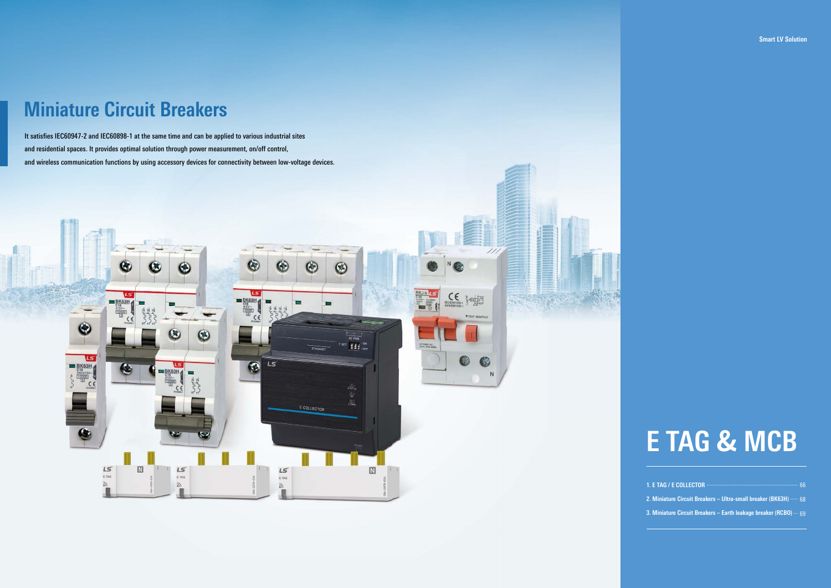# **E TAG & MCB**

## **Smart LV Solution**

| 2. Miniature Circuit Breakers – Ultra-small breaker (BK63H) …… 68        |  |
|--------------------------------------------------------------------------|--|
| 3. Miniature Circuit Breakers – Earth leakage breaker (RCBO) $\cdots$ 69 |  |

It satisfies IEC60947-2 and IEC60898-1 at the same time and can be applied to various industrial sites and residential spaces. It provides optimal solution through power measurement, on/off control, and wireless communication functions by using accessory devices for connectivity between low-voltage devices.



# **Miniature Circuit Breakers**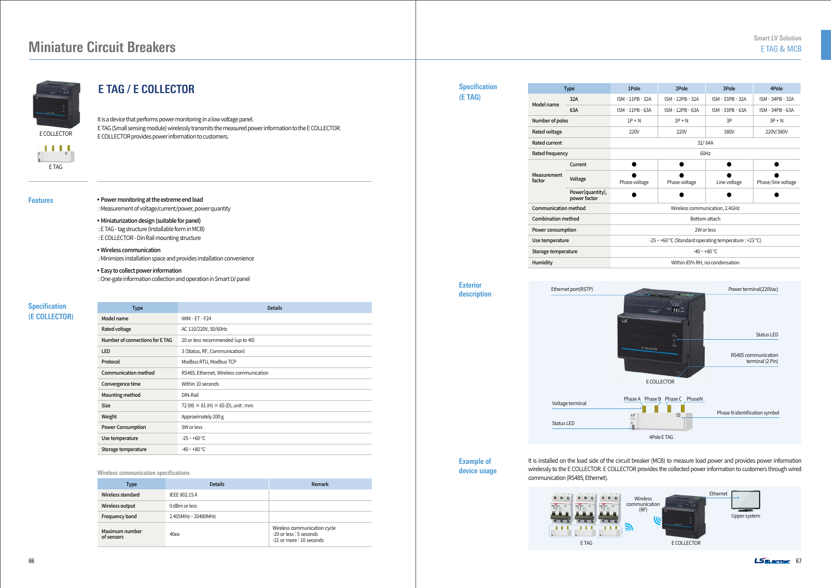| <b>Type</b>                 |                                  | 1Pole                | 2Pole                                 |    |  |  |
|-----------------------------|----------------------------------|----------------------|---------------------------------------|----|--|--|
|                             | 32A                              | ISM - 11PB - 32A     | ISM - 12PB - 32A                      | IS |  |  |
| Model name                  | 63A                              | ISM - 11PB - 63A     | ISM - 12PB - 63A                      | IS |  |  |
| Number of poles             |                                  | $1P + N$             | $1P + N$                              |    |  |  |
| Rated voltage               |                                  | 220V                 | 220V                                  |    |  |  |
| <b>Rated current</b>        |                                  | 32/64A               |                                       |    |  |  |
| Rated frequency             |                                  | 60Hz                 |                                       |    |  |  |
|                             | Current                          |                      |                                       |    |  |  |
| Measurement<br>factor       | Voltage                          | Phase voltage        | Phase voltage                         |    |  |  |
|                             | Power(quantity),<br>power factor |                      |                                       |    |  |  |
| <b>Communication method</b> |                                  | Wireless communicat  |                                       |    |  |  |
| <b>Combination method</b>   |                                  | Bottom atta          |                                       |    |  |  |
| Power consumption           |                                  | 2W or less           |                                       |    |  |  |
| Use temperature             |                                  |                      | -25 $\sim$ +60 °C (Standard operating |    |  |  |
| Storage temperature         |                                  |                      | $-40 - +80$ °                         |    |  |  |
| Humidity                    |                                  | Within 85% RH, no co |                                       |    |  |  |
|                             |                                  |                      |                                       |    |  |  |



It is installed on the load side of the circuit breaker (MCB) to measure load power and provides power information wirelessly to the E COLLECTOR. E COLLECTOR provides the collected power information to customers through wired

communication (RS485, Ethernet).

E TAG

 $\mathbf{H}$ 

## **Miniature Circuit Breakers**



## **E TAG / E COLLECTOR**



**• Power monitoring at the extreme end load** 

| <b>Type</b>                     | <b>Details</b>                                   |  |  |
|---------------------------------|--------------------------------------------------|--|--|
| Model name                      | <b>IWM - ET - F24</b>                            |  |  |
| Rated voltage                   | AC 110/220V, 50/60Hz                             |  |  |
| Number of connections for E TAG | 20 or less recommended (up to 40)                |  |  |
| <b>LED</b>                      | 3 (Status, RF, Communication)                    |  |  |
| Protocol                        | Modbus RTU, Modbus TCP                           |  |  |
| Communication method            | RS485, Ethernet, Wireless communication          |  |  |
| Convergence time                | Within 10 seconds                                |  |  |
| Mounting method                 | DIN-Rail                                         |  |  |
| <b>Size</b>                     | 72 (W) $\times$ 81 (H) $\times$ 65 (D), unit: mm |  |  |
| Weight                          | Approximately 200 g                              |  |  |
| <b>Power Consumption</b>        | 5W or less                                       |  |  |
| Use temperature                 | $-25 - +60$ °C                                   |  |  |
| Storage temperature             | $-40 - +80$ °C                                   |  |  |

| <b>Type</b>                  | <b>Details</b>    | Remark                                                                              |
|------------------------------|-------------------|-------------------------------------------------------------------------------------|
| Wireless standard            | IEEE 802.15.4     |                                                                                     |
| Wireless output              | 0 dBm or less     |                                                                                     |
| Frequency band               | 2.405MHz~20480MHz |                                                                                     |
| Maximum number<br>of sensors | 40ea              | Wireless communication cycle<br>-20 or less : 5 seconds<br>-21 or more : 10 seconds |

## **Specification**

**(E COLLECTOR)**

#### Wireless communication specifications

It is a device that performs power monitoring in a low voltage panel. E TAG (Small sensing module) wirelessly transmits the measured power information to the E COLLECTOR. E COLLECTOR provides power information to customers.

: Measurement of voltage/current/power, power quantity

- ▪Miniaturization design (suitable for panel) : E TAG - tag structure (Installable form in MCB) : E COLLECTOR - Din Rail mounting structure
- ▪Wireless communication : Minimizes installation space and provides installation convenience
- **Easy to collect power information** : One-gate information collection and operation in Smart LV panel

**Example of device usage**



#### **Exterior description**

**Specification (E TAG)**